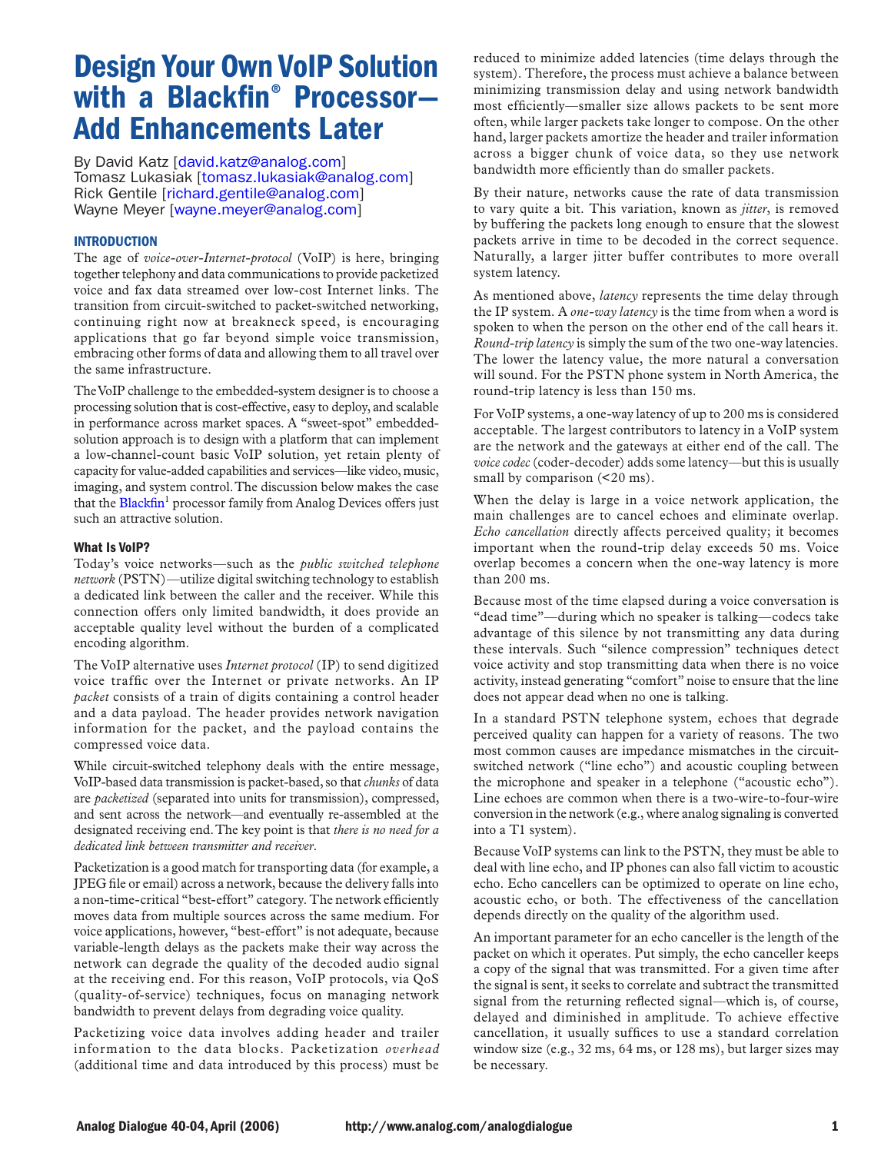# Design Your Own VoIP Solution with a Blackfin® Processor— Add Enhancements Later

By David Katz [\[david.katz@analog.com\]](mailto:david.katz@analog.com) Tomasz Lukasiak [\[tomasz.lukasiak@analog.com](mailto:tomasz.lukasiak@analog.com)] Rick Gentile [\[richard.gentile@analog.com](mailto:richard.gentile@analog.com)] Wayne Meyer [\[wayne.meyer@analog.com](mailto:wayne.meyer@analog.com)]

# INTRODUCTION

The age of *voice-over-Internet-protocol* (VoIP) is here, bringing together telephony and data communications to provide packetized voice and fax data streamed over low-cost Internet links. The transition from circuit-switched to packet-switched networking, continuing right now at breakneck speed, is encouraging applications that go far beyond simple voice transmission, embracing other forms of data and allowing them to all travel over the same infrastructure.

The VoIP challenge to the embedded-system designer is to choose a processing solution that is cost-effective, easy to deploy, and scalable in performance across market spaces. A "sweet-spot" embeddedsolution approach is to design with a platform that can implement a low-channel-count basic VoIP solution, yet retain plenty of capacity for value-added capabilities and services—like video, music, imaging, and system control. The discussion below makes the case that the [Blackfin](http://www.analog.com/processors/processors/blackfin/)<sup>1</sup> processor family from Analog Devices offers just such an attractive solution.

#### What Is VoIP?

Today's voice networks—such as the *public switched telephone network* (PSTN)—utilize digital switching technology to establish a dedicated link between the caller and the receiver. While this connection offers only limited bandwidth, it does provide an acceptable quality level without the burden of a complicated encoding algorithm.

The VoIP alternative uses *Internet protocol* (IP) to send digitized voice traffic over the Internet or private networks. An IP *packet* consists of a train of digits containing a control header and a data payload. The header provides network navigation information for the packet, and the payload contains the compressed voice data.

While circuit-switched telephony deals with the entire message, VoIP-based data transmission is packet-based, so that *chunks* of data are *packetized* (separated into units for transmission), compressed, and sent across the network—and eventually re-assembled at the designated receiving end. The key point is that *there is no need for a dedicated link between transmitter and receiver*.

Packetization is a good match for transporting data (for example, a JPEG file or email) across a network, because the delivery falls into a non-time-critical "best-effort" category. The network efficiently moves data from multiple sources across the same medium. For voice applications, however, "best-effort" is not adequate, because variable-length delays as the packets make their way across the network can degrade the quality of the decoded audio signal at the receiving end. For this reason, VoIP protocols, via QoS (quality-of-service) techniques, focus on managing network bandwidth to prevent delays from degrading voice quality.

Packetizing voice data involves adding header and trailer information to the data blocks. Packetization *overhead* (additional time and data introduced by this process) must be

reduced to minimize added latencies (time delays through the system). Therefore, the process must achieve a balance between minimizing transmission delay and using network bandwidth most efficiently—smaller size allows packets to be sent more often, while larger packets take longer to compose. On the other hand, larger packets amortize the header and trailer information across a bigger chunk of voice data, so they use network bandwidth more efficiently than do smaller packets.

By their nature, networks cause the rate of data transmission to vary quite a bit. This variation, known as *jitter*, is removed by buffering the packets long enough to ensure that the slowest packets arrive in time to be decoded in the correct sequence. Naturally, a larger jitter buffer contributes to more overall system latency.

As mentioned above, *latency* represents the time delay through the IP system. A *one-way latency* is the time from when a word is spoken to when the person on the other end of the call hears it. *Round-trip latency* is simply the sum of the two one-way latencies. The lower the latency value, the more natural a conversation will sound. For the PSTN phone system in North America, the round-trip latency is less than 150 ms.

For VoIP systems, a one-way latency of up to 200 ms is considered acceptable. The largest contributors to latency in a VoIP system are the network and the gateways at either end of the call. The *voice codec* (coder-decoder) adds some latency—but this is usually small by comparison (<20 ms).

When the delay is large in a voice network application, the main challenges are to cancel echoes and eliminate overlap. *Echo cancellation* directly affects perceived quality; it becomes important when the round-trip delay exceeds 50 ms. Voice overlap becomes a concern when the one-way latency is more than 200 ms.

Because most of the time elapsed during a voice conversation is "dead time"—during which no speaker is talking—codecs take advantage of this silence by not transmitting any data during these intervals. Such "silence compression" techniques detect voice activity and stop transmitting data when there is no voice activity, instead generating "comfort" noise to ensure that the line does not appear dead when no one is talking.

In a standard PSTN telephone system, echoes that degrade perceived quality can happen for a variety of reasons. The two most common causes are impedance mismatches in the circuitswitched network ("line echo") and acoustic coupling between the microphone and speaker in a telephone ("acoustic echo"). Line echoes are common when there is a two-wire-to-four-wire conversion in the network (e.g., where analog signaling is converted into a T1 system).

Because VoIP systems can link to the PSTN, they must be able to deal with line echo, and IP phones can also fall victim to acoustic echo. Echo cancellers can be optimized to operate on line echo, acoustic echo, or both. The effectiveness of the cancellation depends directly on the quality of the algorithm used.

An important parameter for an echo canceller is the length of the packet on which it operates. Put simply, the echo canceller keeps a copy of the signal that was transmitted. For a given time after the signal is sent, it seeks to correlate and subtract the transmitted signal from the returning reflected signal—which is, of course, delayed and diminished in amplitude. To achieve effective cancellation, it usually suffices to use a standard correlation window size (e.g., 32 ms, 64 ms, or 128 ms), but larger sizes may be necessary.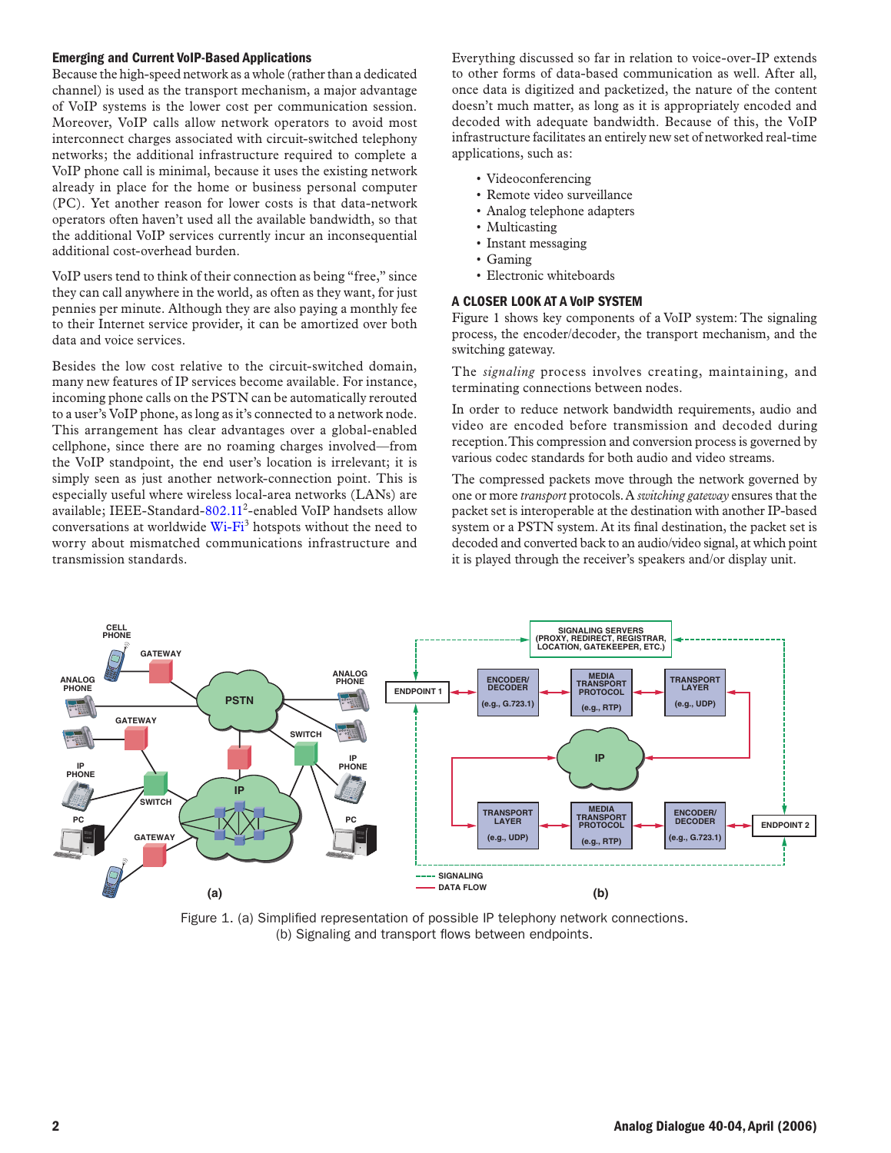#### Emerging and Current VoIP-Based Applications

Because the high-speed network as a whole (rather than a dedicated channel) is used as the transport mechanism, a major advantage of VoIP systems is the lower cost per communication session. Moreover, VoIP calls allow network operators to avoid most interconnect charges associated with circuit-switched telephony networks; the additional infrastructure required to complete a VoIP phone call is minimal, because it uses the existing network already in place for the home or business personal computer (PC). Yet another reason for lower costs is that data-network operators often haven't used all the available bandwidth, so that the additional VoIP services currently incur an inconsequential additional cost-overhead burden.

VoIP users tend to think of their connection as being "free," since they can call anywhere in the world, as often as they want, for just pennies per minute. Although they are also paying a monthly fee to their Internet service provider, it can be amortized over both data and voice services.

Besides the low cost relative to the circuit-switched domain, many new features of IP services become available. For instance, incoming phone calls on the PSTN can be automatically rerouted to a user's VoIP phone, as long as it's connected to a network node. This arrangement has clear advantages over a global-enabled cellphone, since there are no roaming charges involved—from the VoIP standpoint, the end user's location is irrelevant; it is simply seen as just another network-connection point. This is especially useful where wireless local-area networks (LANs) are available; IEEE-Standard-802.11<sup>2</sup>-enabled VoIP handsets allow conversations at worldwide [Wi-Fi](http://www.wi-fi.org/)<sup>3</sup> hotspots without the need to worry about mismatched communications infrastructure and transmission standards.

Everything discussed so far in relation to voice-over-IP extends to other forms of data-based communication as well. After all, once data is digitized and packetized, the nature of the content doesn't much matter, as long as it is appropriately encoded and decoded with adequate bandwidth. Because of this, the VoIP infrastructure facilitates an entirely new set of networked real-time applications, such as:

- Videoconferencing
- Remote video surveillance
- Analog telephone adapters
- Multicasting
- Instant messaging
- Gaming
- Electronic whiteboards

# A CLOSER LOOK AT A VoIP SYSTEM

Figure 1 shows key components of a VoIP system: The signaling process, the encoder/decoder, the transport mechanism, and the switching gateway.

The *signaling* process involves creating, maintaining, and terminating connections between nodes.

In order to reduce network bandwidth requirements, audio and video are encoded before transmission and decoded during reception. This compression and conversion process is governed by various codec standards for both audio and video streams.

The compressed packets move through the network governed by one or more *transport* protocols. A *switching gateway* ensures that the packet set is interoperable at the destination with another IP-based system or a PSTN system. At its final destination, the packet set is decoded and converted back to an audio/video signal, at which point it is played through the receiver's speakers and/or display unit.



Figure 1. (a) Simplified representation of possible IP telephony network connections. (b) Signaling and transport flows between endpoints.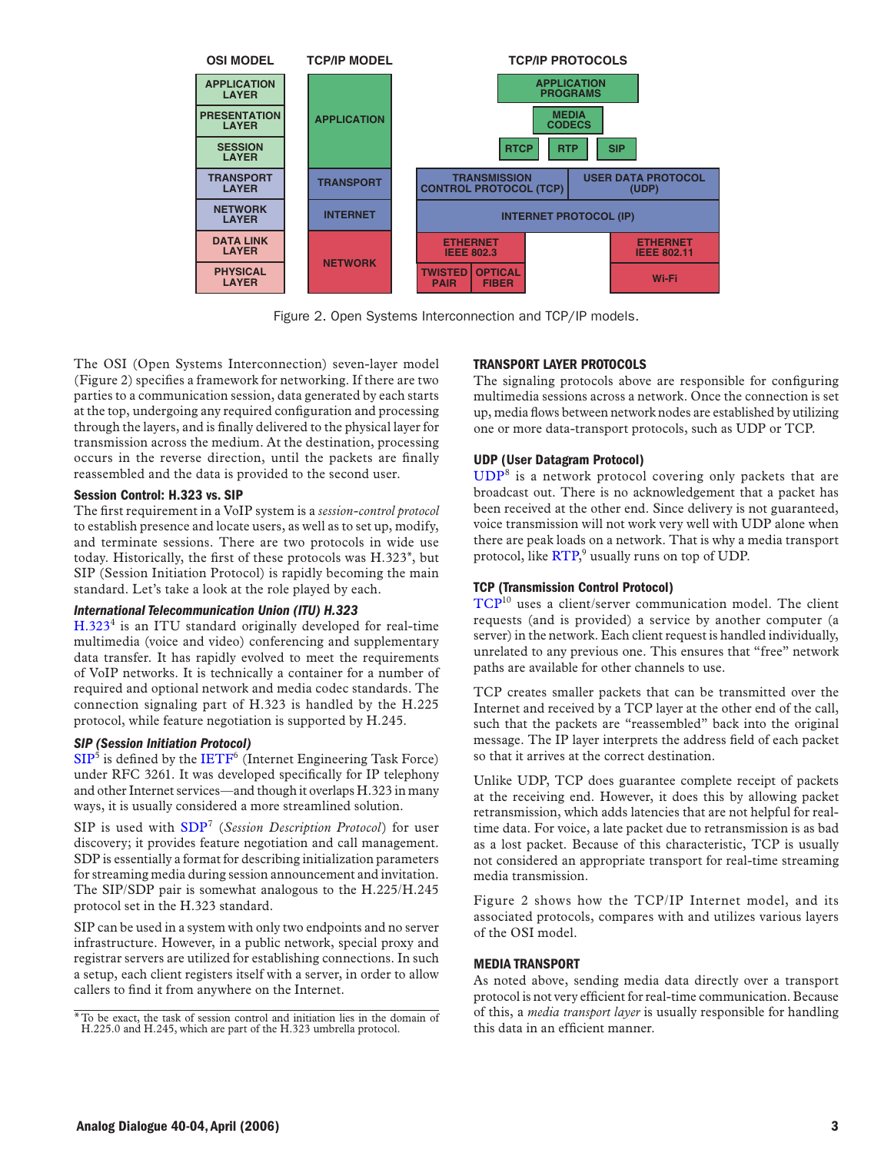

Figure 2. Open Systems Interconnection and TCP/IP models.

The OSI (Open Systems Interconnection) seven-layer model (Figure 2) specifies a framework for networking. If there are two parties to a communication session, data generated by each starts at the top, undergoing any required configuration and processing through the layers, and is finally delivered to the physical layer for transmission across the medium. At the destination, processing occurs in the reverse direction, until the packets are finally reassembled and the data is provided to the second user.

## Session Control: H.323 vs. SIP

The first requirement in a VoIP system is a *session-control protocol* to establish presence and locate users, as well as to set up, modify, and terminate sessions. There are two protocols in wide use today. Historically, the first of these protocols was H.323\*, but SIP (Session Initiation Protocol) is rapidly becoming the main standard. Let's take a look at the role played by each.

#### *International Telecommunication Union (ITU) H.323*

 $H.323<sup>4</sup>$  $H.323<sup>4</sup>$  is an ITU standard originally developed for real-time multimedia (voice and video) conferencing and supplementary data transfer. It has rapidly evolved to meet the requirements of VoIP networks. It is technically a container for a number of required and optional network and media codec standards. The connection signaling part of H.323 is handled by the H.225 protocol, while feature negotiation is supported by H.245.

#### *SIP (Session Initiation Protocol)*

 $SIP<sup>5</sup>$  $SIP<sup>5</sup>$  is defined by the  $IETF<sup>6</sup>$  $IETF<sup>6</sup>$  (Internet Engineering Task Force) under RFC 3261. It was developed specifically for IP telephony and other Internet services—and though it overlaps H.323 in many ways, it is usually considered a more streamlined solution.

SIP is used with [SDP](http://www.ietf.org/rfc/rfc2327.txt)<sup>7</sup> (*Session Description Protocol*) for user discovery; it provides feature negotiation and call management. SDP is essentially a format for describing initialization parameters for streaming media during session announcement and invitation. The SIP/SDP pair is somewhat analogous to the H.225/H.245 protocol set in the H.323 standard.

SIP can be used in a system with only two endpoints and no server infrastructure. However, in a public network, special proxy and registrar servers are utilized for establishing connections. In such a setup, each client registers itself with a server, in order to allow callers to find it from anywhere on the Internet.

#### TRANSPORT LAYER PROTOCOLS

The signaling protocols above are responsible for configuring multimedia sessions across a network. Once the connection is set up, media flows between network nodes are established by utilizing one or more data-transport protocols, such as UDP or TCP.

#### UDP (User Datagram Protocol)

[UDP](http://www.ietf.org/rfc/rfc768.txt)8 is a network protocol covering only packets that are broadcast out. There is no acknowledgement that a packet has been received at the other end. Since delivery is not guaranteed, voice transmission will not work very well with UDP alone when there are peak loads on a network. That is why a media transport protocol, like [RTP](http://www.ietf.org/rfc/rfc3550.txt),<sup>9</sup> usually runs on top of UDP.

## TCP (Transmission Control Protocol)

[TCP](http://www.ietf.org/rfc/rfc0793.txt)10 uses a client/server communication model. The client requests (and is provided) a service by another computer (a server) in the network. Each client request is handled individually, unrelated to any previous one. This ensures that "free" network paths are available for other channels to use.

TCP creates smaller packets that can be transmitted over the Internet and received by a TCP layer at the other end of the call, such that the packets are "reassembled" back into the original message. The IP layer interprets the address field of each packet so that it arrives at the correct destination.

Unlike UDP, TCP does guarantee complete receipt of packets at the receiving end. However, it does this by allowing packet retransmission, which adds latencies that are not helpful for realtime data. For voice, a late packet due to retransmission is as bad as a lost packet. Because of this characteristic, TCP is usually not considered an appropriate transport for real-time streaming media transmission.

Figure 2 shows how the TCP/IP Internet model, and its associated protocols, compares with and utilizes various layers of the OSI model.

#### Media Transport

As noted above, sending media data directly over a transport protocol is not very efficient for real-time communication. Because of this, a *media transport layer* is usually responsible for handling this data in an efficient manner.

<sup>\*</sup>To be exact, the task of session control and initiation lies in the domain of H.225.0 and H.245, which are part of the H.323 umbrella protocol.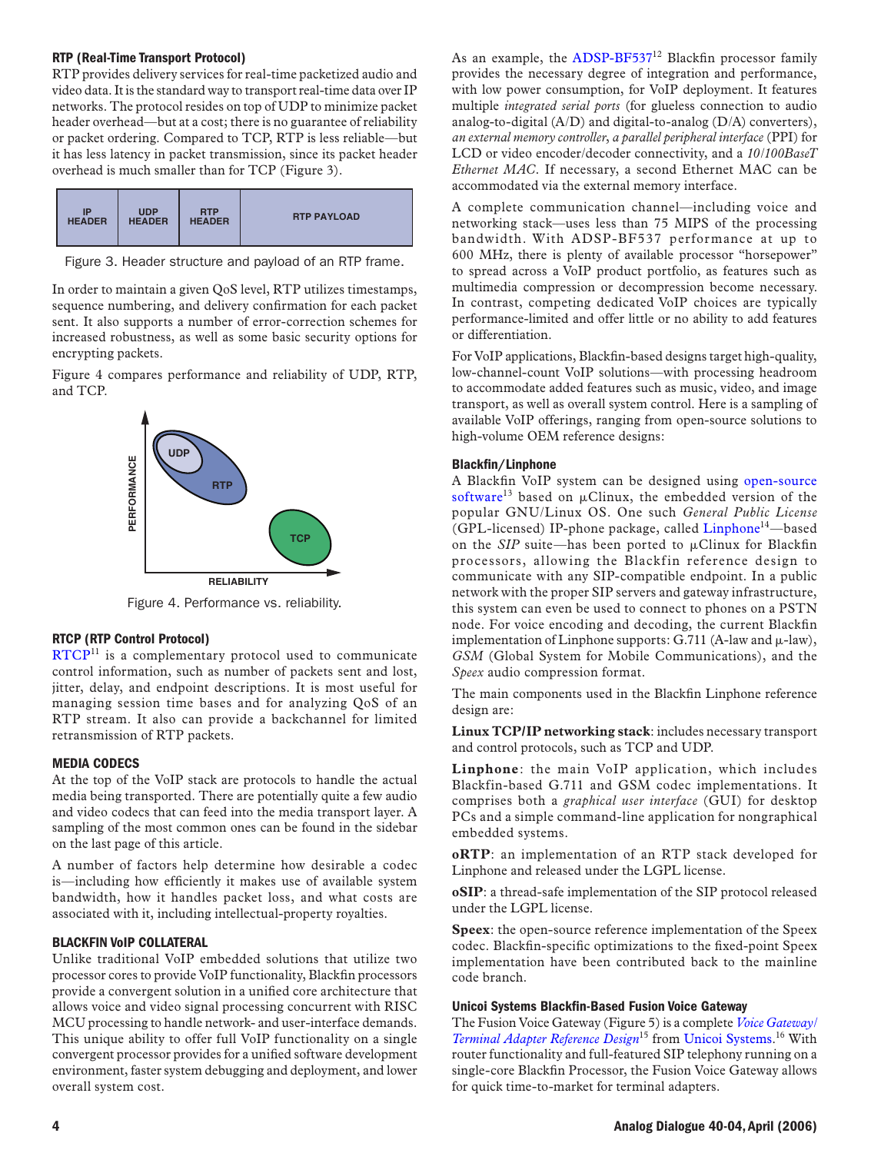# RTP (Real-Time Transport Protocol)

RTP provides delivery services for real-time packetized audio and video data. It is the standard way to transport real-time data over IP networks. The protocol resides on top of UDP to minimize packet header overhead—but at a cost; there is no guarantee of reliability or packet ordering. Compared to TCP, RTP is less reliable—but it has less latency in packet transmission, since its packet header overhead is much smaller than for TCP (Figure 3).



Figure 3. Header structure and payload of an RTP frame.

In order to maintain a given QoS level, RTP utilizes timestamps, sequence numbering, and delivery confirmation for each packet sent. It also supports a number of error-correction schemes for increased robustness, as well as some basic security options for encrypting packets.

Figure 4 compares performance and reliability of UDP, RTP, and TCP.



Figure 4. Performance vs. reliability.

## RTCP (RTP Control Protocol)

 $RTCP<sup>11</sup>$  $RTCP<sup>11</sup>$  is a complementary protocol used to communicate control information, such as number of packets sent and lost, jitter, delay, and endpoint descriptions. It is most useful for managing session time bases and for analyzing QoS of an RTP stream. It also can provide a backchannel for limited retransmission of RTP packets.

## MEDIA CODECS

At the top of the VoIP stack are protocols to handle the actual media being transported. There are potentially quite a few audio and video codecs that can feed into the media transport layer. A sampling of the most common ones can be found in the sidebar on the last page of this article.

A number of factors help determine how desirable a codec is—including how efficiently it makes use of available system bandwidth, how it handles packet loss, and what costs are associated with it, including intellectual-property royalties.

# BLACKFIN VoIP COLLATERAL

Unlike traditional VoIP embedded solutions that utilize two processor cores to provide VoIP functionality, Blackfin processors provide a convergent solution in a unified core architecture that allows voice and video signal processing concurrent with RISC MCU processing to handle network- and user-interface demands. This unique ability to offer full VoIP functionality on a single convergent processor provides for a unified software development environment, faster system debugging and deployment, and lower overall system cost.

As an example, the [ADSP-BF537](http://www.analog.com/en/prod/0%2C2877%2CADSP%2DBF537%2C00.html)<sup>12</sup> Blackfin processor family provides the necessary degree of integration and performance, with low power consumption, for VoIP deployment. It features multiple *integrated serial ports* (for glueless connection to audio analog-to-digital (A/D) and digital-to-analog (D/A) converters), *an external memory controller*, *a parallel peripheral interface* (PPI) for LCD or video encoder/decoder connectivity, and a *10/100BaseT Ethernet MAC*. If necessary, a second Ethernet MAC can be accommodated via the external memory interface.

A complete communication channel—including voice and networking stack—uses less than 75 MIPS of the processing bandwidth. With ADSP-BF537 performance at up to 600 MHz, there is plenty of available processor "horsepower" to spread across a VoIP product portfolio, as features such as multimedia compression or decompression become necessary. In contrast, competing dedicated VoIP choices are typically performance-limited and offer little or no ability to add features or differentiation.

For VoIP applications, Blackfin-based designs target high-quality, low-channel-count VoIP solutions—with processing headroom to accommodate added features such as music, video, and image transport, as well as overall system control. Here is a sampling of available VoIP offerings, ranging from open-source solutions to high-volume OEM reference designs:

# Blackfin/Linphone

A Blackfin VoIP system can be designed using [open-source](http://blackfin.uclinux.org/)  [software](http://blackfin.uclinux.org/)<sup>13</sup> based on  $\mu$ Clinux, the embedded version of the popular GNU/Linux OS. One such *General Public License* (GPL-licensed) IP-phone package, called [Linphone1](http://docs.blackfin.uclinux.org/doku.php?id=linphone)4—based on the *SIP* suite—has been ported to µClinux for Blackfin processors, allowing the Blackfin reference design to communicate with any SIP-compatible endpoint. In a public network with the proper SIP servers and gateway infrastructure, this system can even be used to connect to phones on a PSTN node. For voice encoding and decoding, the current Blackfin implementation of Linphone supports: G.711 (A-law and  $\mu$ -law), *GSM* (Global System for Mobile Communications), and the *Speex* audio compression format.

The main components used in the Blackfin Linphone reference design are:

**Linux TCP/IP networking stack**: includes necessary transport and control protocols, such as TCP and UDP.

**Linphone**: the main VoIP application, which includes Blackfin-based G.711 and GSM codec implementations. It comprises both a *graphical user interface* (GUI) for desktop PCs and a simple command-line application for nongraphical embedded systems.

**oRTP**: an implementation of an RTP stack developed for Linphone and released under the LGPL license.

**oSIP**: a thread-safe implementation of the SIP protocol released under the LGPL license.

**Speex**: the open-source reference implementation of the Speex codec. Blackfin-specific optimizations to the fixed-point Speex implementation have been contributed back to the mainline code branch.

## Unicoi Systems Blackfin-Based Fusion Voice Gateway

The Fusion Voice Gateway (Figure 5) is a complete *[Voice Gateway/](http://www.unicoi.com/Documentation/ProductBriefs/voicegateway_unicoi_blackfin.pdf) [Terminal Adapter Reference Design](http://www.unicoi.com/Documentation/ProductBriefs/voicegateway_unicoi_blackfin.pdf)*15 from [Unicoi Systems](http://www.unicoi.com/). 16 With router functionality and full-featured SIP telephony running on a single-core Blackfin Processor, the Fusion Voice Gateway allows for quick time-to-market for terminal adapters.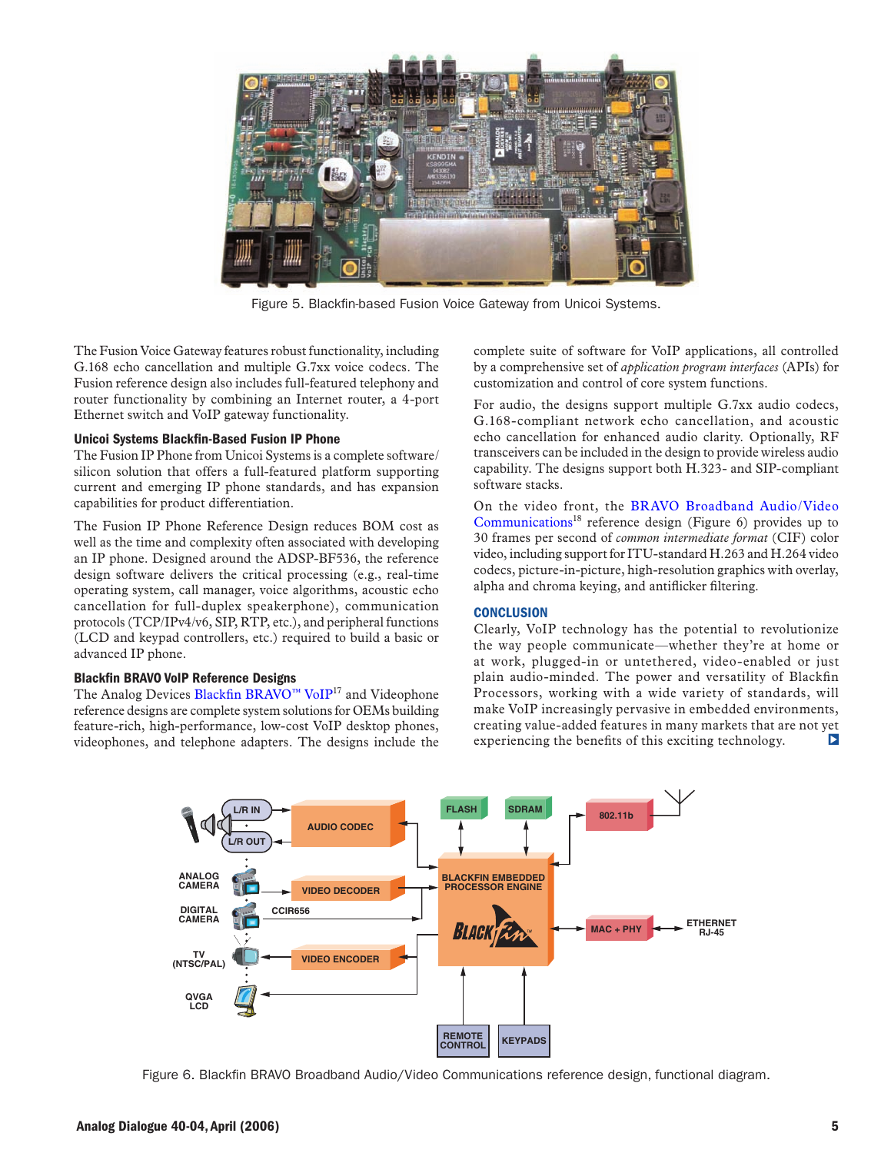

Figure 5. Blackfin-based Fusion Voice Gateway from Unicoi Systems.

The Fusion Voice Gateway features robust functionality, including G.168 echo cancellation and multiple G.7xx voice codecs. The Fusion reference design also includes full-featured telephony and router functionality by combining an Internet router, a 4-port Ethernet switch and VoIP gateway functionality.

#### Unicoi Systems Blackfin-Based Fusion IP Phone

The Fusion IP Phone from Unicoi Systems is a complete software/ silicon solution that offers a full-featured platform supporting current and emerging IP phone standards, and has expansion capabilities for product differentiation.

The Fusion IP Phone Reference Design reduces BOM cost as well as the time and complexity often associated with developing an IP phone. Designed around the ADSP-BF536, the reference design software delivers the critical processing (e.g., real-time operating system, call manager, voice algorithms, acoustic echo cancellation for full-duplex speakerphone), communication protocols (TCP/IPv4/v6, SIP, RTP, etc.), and peripheral functions (LCD and keypad controllers, etc.) required to build a basic or advanced IP phone.

## Blackfin BRAVO VoIP Reference Designs

The Analog Devices Blackfin BRAVO™ VoIP<sup>17</sup> and Videophone reference designs are complete system solutions for OEMs building feature-rich, high-performance, low-cost VoIP desktop phones, videophones, and telephone adapters. The designs include the complete suite of software for VoIP applications, all controlled by a comprehensive set of *application program interfaces* (APIs) for customization and control of core system functions.

For audio, the designs support multiple G.7xx audio codecs, G.168-compliant network echo cancellation, and acoustic echo cancellation for enhanced audio clarity. Optionally, RF transceivers can be included in the design to provide wireless audio capability. The designs support both H.323- and SIP-compliant software stacks.

On the video front, the [BRAVO Broadband Audio/Video](http://www.analog.com/processors/platforms/blackfin_BRAVO/Blackfin_BRAVO_Videophone(D)_final.pdf)  [Communications](http://www.analog.com/processors/platforms/blackfin_BRAVO/Blackfin_BRAVO_Videophone(D)_final.pdf)<sup>18</sup> reference design (Figure 6) provides up to 30 frames per second of *common intermediate format* (CIF) color video, including support for ITU-standard H.263 and H.264 video codecs, picture-in-picture, high-resolution graphics with overlay, alpha and chroma keying, and antiflicker filtering.

#### **CONCLUSION**

Clearly, VoIP technology has the potential to revolutionize the way people communicate—whether they're at home or at work, plugged-in or untethered, video-enabled or just plain audio-minded. The power and versatility of Blackfin Processors, working with a wide variety of standards, will make VoIP increasingly pervasive in embedded environments, creating value-added features in many markets that are not yet experiencing the benefits of this exciting technology.  $\Box$ 



Figure 6. Blackfin BRAVO Broadband Audio/Video Communications reference design, functional diagram.